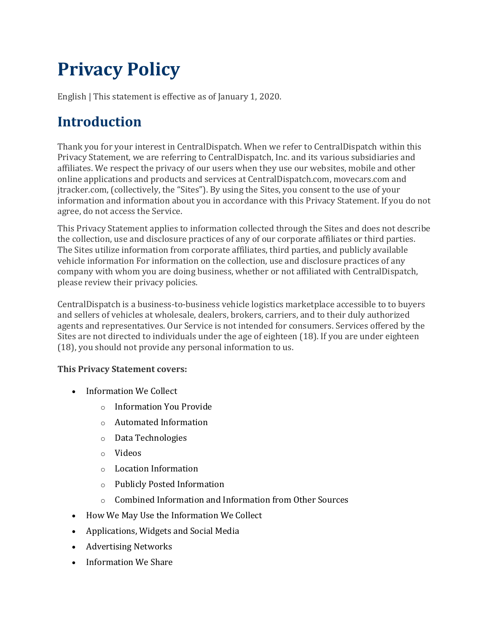# **Privacy Policy**

English | This statement is effective as of January 1, 2020.

### **Introduction**

Thank you for your interest in CentralDispatch. When we refer to CentralDispatch within this Privacy Statement, we are referring to CentralDispatch, Inc. and its various subsidiaries and affiliates. We respect the privacy of our users when they use our websites, mobile and other online applications and products and services at CentralDispatch.com, movecars.com and jtracker.com, (collectively, the "Sites"). By using the Sites, you consent to the use of your information and information about you in accordance with this Privacy Statement. If you do not agree, do not access the Service.

This Privacy Statement applies to information collected through the Sites and does not describe the collection, use and disclosure practices of any of our corporate affiliates or third parties. The Sites utilize information from corporate affiliates, third parties, and publicly available vehicle information For information on the collection, use and disclosure practices of any company with whom you are doing business, whether or not affiliated with CentralDispatch, please review their privacy policies.

CentralDispatch is a business-to-business vehicle logistics marketplace accessible to to buyers and sellers of vehicles at wholesale, dealers, brokers, carriers, and to their duly authorized agents and representatives. Our Service is not intended for consumers. Services offered by the Sites are not directed to individuals under the age of eighteen (18). If you are under eighteen (18), you should not provide any personal information to us.

### **This Privacy Statement covers:**

- Information We Collect
	- o Information You Provide
	- o Automated Information
	- o Data Technologies
	- o Videos
	- o Location Information
	- o Publicly Posted Information
	- o Combined Information and Information from Other Sources
- How We May Use the Information We Collect
- Applications, Widgets and Social Media
- Advertising Networks
- Information We Share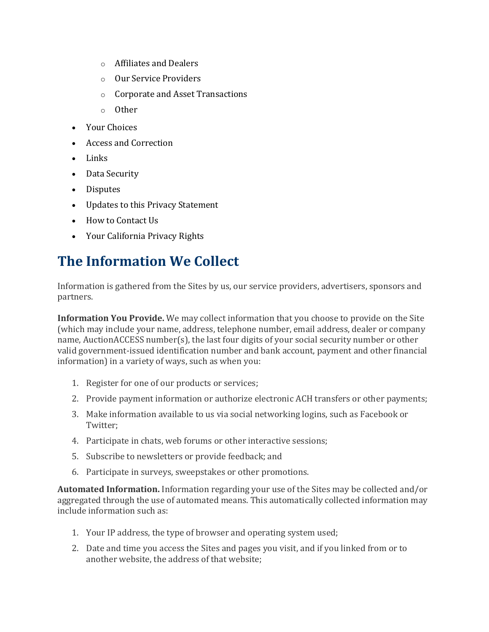- o Affiliates and Dealers
- o Our Service Providers
- o Corporate and Asset Transactions
- o Other
- Your Choices
- Access and Correction
- Links
- Data Security
- Disputes
- Updates to this Privacy Statement
- How to Contact Us
- Your California Privacy Rights

### **The Information We Collect**

Information is gathered from the Sites by us, our service providers, advertisers, sponsors and partners.

**Information You Provide.** We may collect information that you choose to provide on the Site (which may include your name, address, telephone number, email address, dealer or company name, AuctionACCESS number(s), the last four digits of your social security number or other valid government-issued identification number and bank account, payment and other financial information) in a variety of ways, such as when you:

- 1. Register for one of our products or services;
- 2. Provide payment information or authorize electronic ACH transfers or other payments;
- 3. Make information available to us via social networking logins, such as Facebook or Twitter;
- 4. Participate in chats, web forums or other interactive sessions;
- 5. Subscribe to newsletters or provide feedback; and
- 6. Participate in surveys, sweepstakes or other promotions.

**Automated Information.** Information regarding your use of the Sites may be collected and/or aggregated through the use of automated means. This automatically collected information may include information such as:

- 1. Your IP address, the type of browser and operating system used;
- 2. Date and time you access the Sites and pages you visit, and if you linked from or to another website, the address of that website;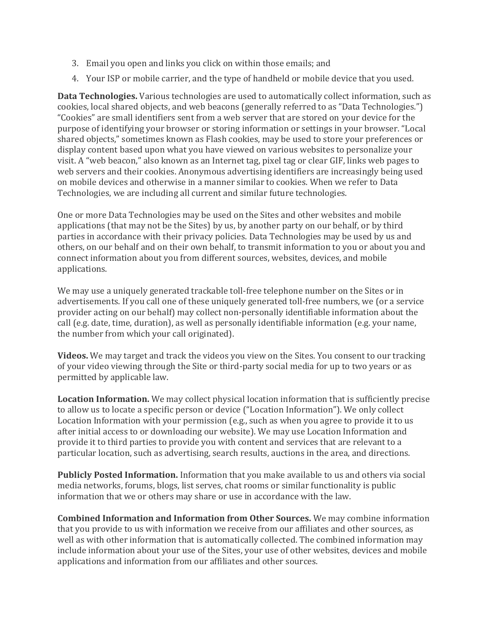- 3. Email you open and links you click on within those emails; and
- 4. Your ISP or mobile carrier, and the type of handheld or mobile device that you used.

**Data Technologies.** Various technologies are used to automatically collect information, such as cookies, local shared objects, and web beacons (generally referred to as "Data Technologies.") "Cookies" are small identifiers sent from a web server that are stored on your device for the purpose of identifying your browser or storing information or settings in your browser. "Local shared objects," sometimes known as Flash cookies, may be used to store your preferences or display content based upon what you have viewed on various websites to personalize your visit. A "web beacon," also known as an Internet tag, pixel tag or clear GIF, links web pages to web servers and their cookies. Anonymous advertising identifiers are increasingly being used on mobile devices and otherwise in a manner similar to cookies. When we refer to Data Technologies, we are including all current and similar future technologies.

One or more Data Technologies may be used on the Sites and other websites and mobile applications (that may not be the Sites) by us, by another party on our behalf, or by third parties in accordance with their privacy policies. Data Technologies may be used by us and others, on our behalf and on their own behalf, to transmit information to you or about you and connect information about you from different sources, websites, devices, and mobile applications.

We may use a uniquely generated trackable toll-free telephone number on the Sites or in advertisements. If you call one of these uniquely generated toll-free numbers, we (or a service provider acting on our behalf) may collect non-personally identifiable information about the call (e.g. date, time, duration), as well as personally identifiable information (e.g. your name, the number from which your call originated).

**Videos.** We may target and track the videos you view on the Sites. You consent to our tracking of your video viewing through the Site or third-party social media for up to two years or as permitted by applicable law.

**Location Information.** We may collect physical location information that is sufficiently precise to allow us to locate a specific person or device ("Location Information"). We only collect Location Information with your permission (e.g., such as when you agree to provide it to us after initial access to or downloading our website). We may use Location Information and provide it to third parties to provide you with content and services that are relevant to a particular location, such as advertising, search results, auctions in the area, and directions.

**Publicly Posted Information.** Information that you make available to us and others via social media networks, forums, blogs, list serves, chat rooms or similar functionality is public information that we or others may share or use in accordance with the law.

**Combined Information and Information from Other Sources.** We may combine information that you provide to us with information we receive from our affiliates and other sources, as well as with other information that is automatically collected. The combined information may include information about your use of the Sites, your use of other websites, devices and mobile applications and information from our affiliates and other sources.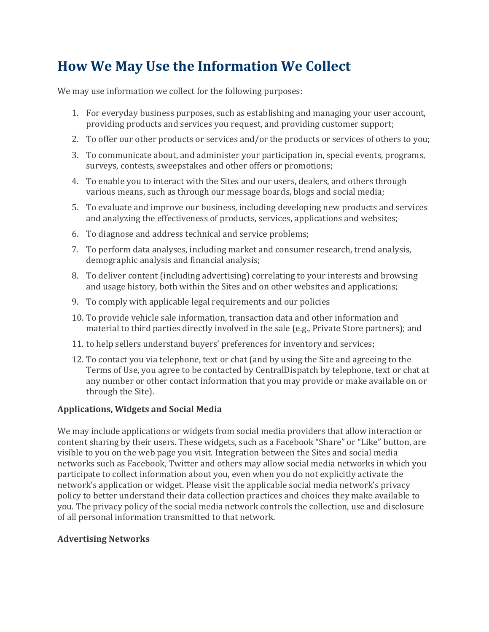### **How We May Use the Information We Collect**

We may use information we collect for the following purposes:

- 1. For everyday business purposes, such as establishing and managing your user account, providing products and services you request, and providing customer support;
- 2. To offer our other products or services and/or the products or services of others to you;
- 3. To communicate about, and administer your participation in, special events, programs, surveys, contests, sweepstakes and other offers or promotions;
- 4. To enable you to interact with the Sites and our users, dealers, and others through various means, such as through our message boards, blogs and social media;
- 5. To evaluate and improve our business, including developing new products and services and analyzing the effectiveness of products, services, applications and websites;
- 6. To diagnose and address technical and service problems;
- 7. To perform data analyses, including market and consumer research, trend analysis, demographic analysis and financial analysis;
- 8. To deliver content (including advertising) correlating to your interests and browsing and usage history, both within the Sites and on other websites and applications;
- 9. To comply with applicable legal requirements and our policies
- 10. To provide vehicle sale information, transaction data and other information and material to third parties directly involved in the sale (e.g., Private Store partners); and
- 11. to help sellers understand buyers' preferences for inventory and services;
- 12. To contact you via telephone, text or chat (and by using the Site and agreeing to the Terms of Use, you agree to be contacted by CentralDispatch by telephone, text or chat at any number or other contact information that you may provide or make available on or through the Site).

### **Applications, Widgets and Social Media**

We may include applications or widgets from social media providers that allow interaction or content sharing by their users. These widgets, such as a Facebook "Share" or "Like" button, are visible to you on the web page you visit. Integration between the Sites and social media networks such as Facebook, Twitter and others may allow social media networks in which you participate to collect information about you, even when you do not explicitly activate the network's application or widget. Please visit the applicable social media network's privacy policy to better understand their data collection practices and choices they make available to you. The privacy policy of the social media network controls the collection, use and disclosure of all personal information transmitted to that network.

### **Advertising Networks**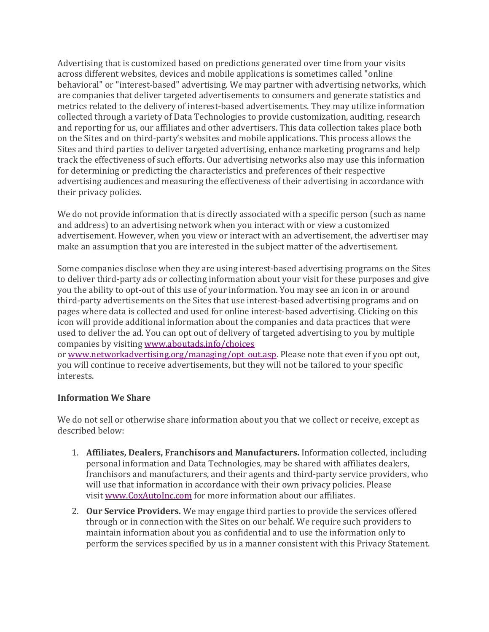Advertising that is customized based on predictions generated over time from your visits across different websites, devices and mobile applications is sometimes called "online behavioral" or "interest-based" advertising. We may partner with advertising networks, which are companies that deliver targeted advertisements to consumers and generate statistics and metrics related to the delivery of interest-based advertisements. They may utilize information collected through a variety of Data Technologies to provide customization, auditing, research and reporting for us, our affiliates and other advertisers. This data collection takes place both on the Sites and on third-party's websites and mobile applications. This process allows the Sites and third parties to deliver targeted advertising, enhance marketing programs and help track the effectiveness of such efforts. Our advertising networks also may use this information for determining or predicting the characteristics and preferences of their respective advertising audiences and measuring the effectiveness of their advertising in accordance with their privacy policies.

We do not provide information that is directly associated with a specific person (such as name and address) to an advertising network when you interact with or view a customized advertisement. However, when you view or interact with an advertisement, the advertiser may make an assumption that you are interested in the subject matter of the advertisement.

Some companies disclose when they are using interest-based advertising programs on the Sites to deliver third-party ads or collecting information about your visit for these purposes and give you the ability to opt-out of this use of your information. You may see an icon in or around third-party advertisements on the Sites that use interest-based advertising programs and on pages where data is collected and used for online interest-based advertising. Clicking on this icon will provide additional information about the companies and data practices that were used to deliver the ad. You can opt out of delivery of targeted advertising to you by multiple companies by visiting [www.aboutads.info/choices](http://www.aboutads.info/choices)

or [www.networkadvertising.org/managing/opt\\_out.asp.](http://www.networkadvertising.org/managing/opt_out.asp) Please note that even if you opt out, you will continue to receive advertisements, but they will not be tailored to your specific interests.

### **Information We Share**

We do not sell or otherwise share information about you that we collect or receive, except as described below:

- 1. **Affiliates, Dealers, Franchisors and Manufacturers.** Information collected, including personal information and Data Technologies, may be shared with affiliates dealers, franchisors and manufacturers, and their agents and third-party service providers, who will use that information in accordance with their own privacy policies. Please visit [www.CoxAutoInc.com](http://www.coxautoinc.com/) for more information about our affiliates.
- 2. **Our Service Providers.** We may engage third parties to provide the services offered through or in connection with the Sites on our behalf. We require such providers to maintain information about you as confidential and to use the information only to perform the services specified by us in a manner consistent with this Privacy Statement.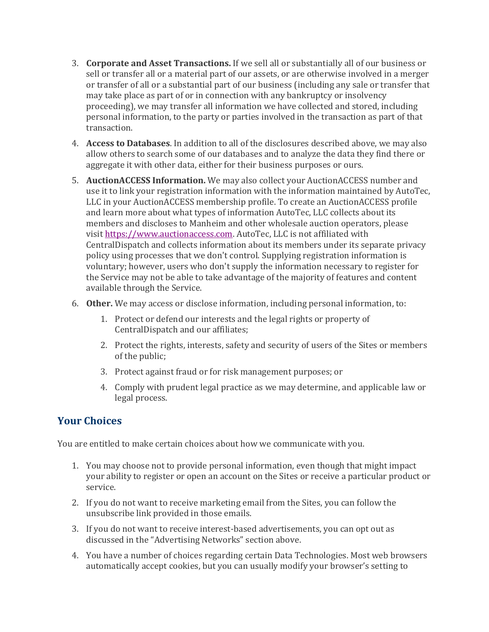- 3. **Corporate and Asset Transactions.** If we sell all or substantially all of our business or sell or transfer all or a material part of our assets, or are otherwise involved in a merger or transfer of all or a substantial part of our business (including any sale or transfer that may take place as part of or in connection with any bankruptcy or insolvency proceeding), we may transfer all information we have collected and stored, including personal information, to the party or parties involved in the transaction as part of that transaction.
- 4. **Access to Databases**. In addition to all of the disclosures described above, we may also allow others to search some of our databases and to analyze the data they find there or aggregate it with other data, either for their business purposes or ours.
- 5. **AuctionACCESS Information.** We may also collect your AuctionACCESS number and use it to link your registration information with the information maintained by AutoTec, LLC in your AuctionACCESS membership profile. To create an AuctionACCESS profile and learn more about what types of information AutoTec, LLC collects about its members and discloses to Manheim and other wholesale auction operators, please visit [https://www.auctionaccess.com.](https://www.auctionaccess.com/) AutoTec, LLC is not affiliated with CentralDispatch and collects information about its members under its separate privacy policy using processes that we don't control. Supplying registration information is voluntary; however, users who don't supply the information necessary to register for the Service may not be able to take advantage of the majority of features and content available through the Service.
- 6. **Other.** We may access or disclose information, including personal information, to:
	- 1. Protect or defend our interests and the legal rights or property of CentralDispatch and our affiliates;
	- 2. Protect the rights, interests, safety and security of users of the Sites or members of the public;
	- 3. Protect against fraud or for risk management purposes; or
	- 4. Comply with prudent legal practice as we may determine, and applicable law or legal process.

### **Your Choices**

You are entitled to make certain choices about how we communicate with you.

- 1. You may choose not to provide personal information, even though that might impact your ability to register or open an account on the Sites or receive a particular product or service.
- 2. If you do not want to receive marketing email from the Sites, you can follow the unsubscribe link provided in those emails.
- 3. If you do not want to receive interest-based advertisements, you can opt out as discussed in the "Advertising Networks" section above.
- 4. You have a number of choices regarding certain Data Technologies. Most web browsers automatically accept cookies, but you can usually modify your browser's setting to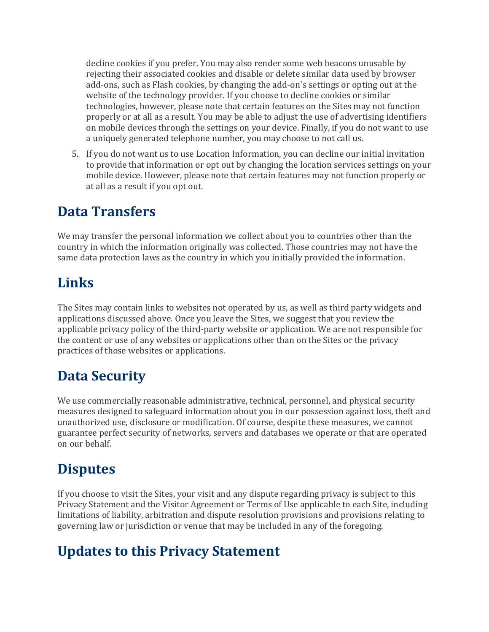decline cookies if you prefer. You may also render some web beacons unusable by rejecting their associated cookies and disable or delete similar data used by browser add-ons, such as Flash cookies, by changing the add-on's settings or opting out at the website of the technology provider. If you choose to decline cookies or similar technologies, however, please note that certain features on the Sites may not function properly or at all as a result. You may be able to adjust the use of advertising identifiers on mobile devices through the settings on your device. Finally, if you do not want to use a uniquely generated telephone number, you may choose to not call us.

5. If you do not want us to use Location Information, you can decline our initial invitation to provide that information or opt out by changing the location services settings on your mobile device. However, please note that certain features may not function properly or at all as a result if you opt out.

### **Data Transfers**

We may transfer the personal information we collect about you to countries other than the country in which the information originally was collected. Those countries may not have the same data protection laws as the country in which you initially provided the information.

### **Links**

The Sites may contain links to websites not operated by us, as well as third party widgets and applications discussed above. Once you leave the Sites, we suggest that you review the applicable privacy policy of the third-party website or application. We are not responsible for the content or use of any websites or applications other than on the Sites or the privacy practices of those websites or applications.

### **Data Security**

We use commercially reasonable administrative, technical, personnel, and physical security measures designed to safeguard information about you in our possession against loss, theft and unauthorized use, disclosure or modification. Of course, despite these measures, we cannot guarantee perfect security of networks, servers and databases we operate or that are operated on our behalf.

### **Disputes**

If you choose to visit the Sites, your visit and any dispute regarding privacy is subject to this Privacy Statement and the Visitor Agreement or Terms of Use applicable to each Site, including limitations of liability, arbitration and dispute resolution provisions and provisions relating to governing law or jurisdiction or venue that may be included in any of the foregoing.

## **Updates to this Privacy Statement**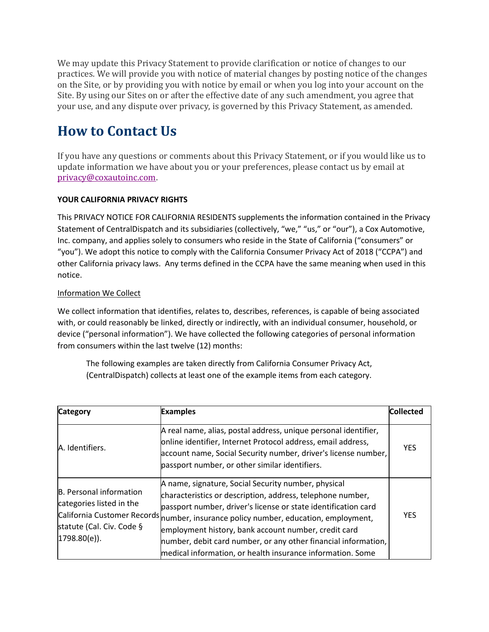We may update this Privacy Statement to provide clarification or notice of changes to our practices. We will provide you with notice of material changes by posting notice of the changes on the Site, or by providing you with notice by email or when you log into your account on the Site. By using our Sites on or after the effective date of any such amendment, you agree that your use, and any dispute over privacy, is governed by this Privacy Statement, as amended.

## **How to Contact Us**

If you have any questions or comments about this Privacy Statement, or if you would like us to update information we have about you or your preferences, please contact us by email at [privacy@coxautoinc.com.](mailto:privacy@coxautoinc.com)

#### **YOUR CALIFORNIA PRIVACY RIGHTS**

This PRIVACY NOTICE FOR CALIFORNIA RESIDENTS supplements the information contained in the Privacy Statement of CentralDispatch and its subsidiaries (collectively, "we," "us," or "our"), a Cox Automotive, Inc. company, and applies solely to consumers who reside in the State of California ("consumers" or "you"). We adopt this notice to comply with the California Consumer Privacy Act of 2018 ("CCPA") and other California privacy laws. Any terms defined in the CCPA have the same meaning when used in this notice.

#### Information We Collect

We collect information that identifies, relates to, describes, references, is capable of being associated with, or could reasonably be linked, directly or indirectly, with an individual consumer, household, or device ("personal information"). We have collected the following categories of personal information from consumers within the last twelve (12) months:

The following examples are taken directly from California Consumer Privacy Act, (CentralDispatch) collects at least one of the example items from each category.

| <b>Category</b>                                                                                          | <b>Examples</b>                                                                                                                                                                                                                                                                                                                                                                                                                                                    | <b>Collected</b> |
|----------------------------------------------------------------------------------------------------------|--------------------------------------------------------------------------------------------------------------------------------------------------------------------------------------------------------------------------------------------------------------------------------------------------------------------------------------------------------------------------------------------------------------------------------------------------------------------|------------------|
| A. Identifiers.                                                                                          | A real name, alias, postal address, unique personal identifier,<br>online identifier, Internet Protocol address, email address,<br>account name, Social Security number, driver's license number,<br>passport number, or other similar identifiers.                                                                                                                                                                                                                | <b>YES</b>       |
| <b>B.</b> Personal information<br>categories listed in the<br>statute (Cal. Civ. Code §<br> 1798.80(e) . | A name, signature, Social Security number, physical<br>characteristics or description, address, telephone number,<br>passport number, driver's license or state identification card<br>California Customer Records number, insurance policy number, education, employment,<br>employment history, bank account number, credit card<br>number, debit card number, or any other financial information,<br>medical information, or health insurance information. Some | <b>YES</b>       |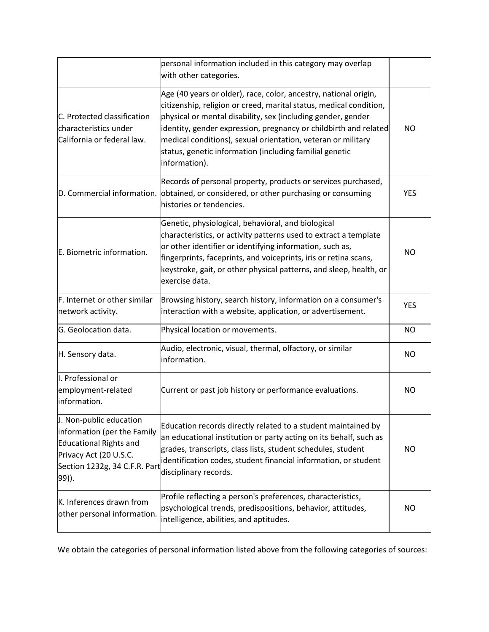|                                                                                                                                                             | personal information included in this category may overlap<br>with other categories.                                                                                                                                                                                                                                                                                                                                   |            |
|-------------------------------------------------------------------------------------------------------------------------------------------------------------|------------------------------------------------------------------------------------------------------------------------------------------------------------------------------------------------------------------------------------------------------------------------------------------------------------------------------------------------------------------------------------------------------------------------|------------|
| C. Protected classification<br>characteristics under<br>California or federal law.                                                                          | Age (40 years or older), race, color, ancestry, national origin,<br>citizenship, religion or creed, marital status, medical condition,<br>physical or mental disability, sex (including gender, gender<br>identity, gender expression, pregnancy or childbirth and related<br>medical conditions), sexual orientation, veteran or military<br>status, genetic information (including familial genetic<br>information). | <b>NO</b>  |
| D. Commercial information.                                                                                                                                  | Records of personal property, products or services purchased,<br>obtained, or considered, or other purchasing or consuming<br>histories or tendencies.                                                                                                                                                                                                                                                                 | <b>YES</b> |
| E. Biometric information.                                                                                                                                   | Genetic, physiological, behavioral, and biological<br>characteristics, or activity patterns used to extract a template<br>or other identifier or identifying information, such as,<br>fingerprints, faceprints, and voiceprints, iris or retina scans,<br>keystroke, gait, or other physical patterns, and sleep, health, or<br>exercise data.                                                                         | <b>NO</b>  |
| F. Internet or other similar<br>network activity.                                                                                                           | Browsing history, search history, information on a consumer's<br>interaction with a website, application, or advertisement.                                                                                                                                                                                                                                                                                            | <b>YES</b> |
| G. Geolocation data.                                                                                                                                        | Physical location or movements.                                                                                                                                                                                                                                                                                                                                                                                        | <b>NO</b>  |
| H. Sensory data.                                                                                                                                            | Audio, electronic, visual, thermal, olfactory, or similar<br>information.                                                                                                                                                                                                                                                                                                                                              | <b>NO</b>  |
| I. Professional or<br>employment-related<br>information.                                                                                                    | Current or past job history or performance evaluations.                                                                                                                                                                                                                                                                                                                                                                | <b>NO</b>  |
| J. Non-public education<br>information (per the Family<br><b>Educational Rights and</b><br>Privacy Act (20 U.S.C.<br>Section 1232g, 34 C.F.R. Part<br>99)). | Education records directly related to a student maintained by<br>an educational institution or party acting on its behalf, such as<br>grades, transcripts, class lists, student schedules, student<br>identification codes, student financial information, or student<br>disciplinary records.                                                                                                                         | <b>NO</b>  |
| K. Inferences drawn from<br>other personal information.                                                                                                     | Profile reflecting a person's preferences, characteristics,<br>psychological trends, predispositions, behavior, attitudes,<br>intelligence, abilities, and aptitudes.                                                                                                                                                                                                                                                  | <b>NO</b>  |

We obtain the categories of personal information listed above from the following categories of sources: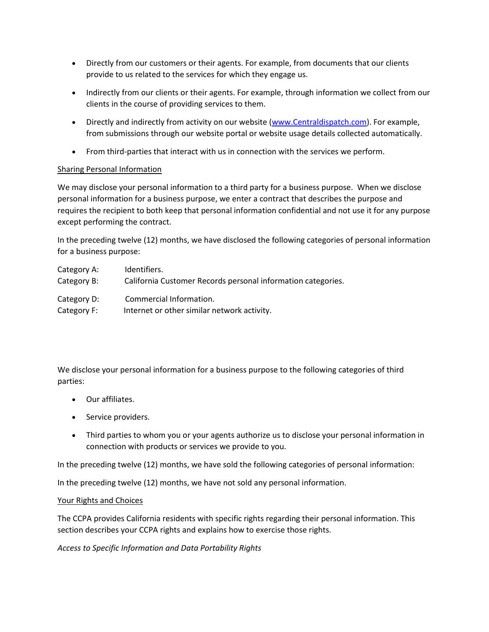- Directly from our customers or their agents. For example, from documents that our clients provide to us related to the services for which they engage us.
- Indirectly from our clients or their agents. For example, through information we collect from our clients in the course of providing services to them.
- Directly and indirectly from activity on our website [\(www.Centraldispatch.com\)](https://www.centraldispatch.com/). For example, from submissions through our website portal or website usage details collected automatically.
- From third-parties that interact with us in connection with the services we perform.

#### Sharing Personal Information

We may disclose your personal information to a third party for a business purpose. When we disclose personal information for a business purpose, we enter a contract that describes the purpose and requires the recipient to both keep that personal information confidential and not use it for any purpose except performing the contract.

In the preceding twelve (12) months, we have disclosed the following categories of personal information for a business purpose:

| Category A: | Identifiers.                                                 |
|-------------|--------------------------------------------------------------|
| Category B: | California Customer Records personal information categories. |
| Category D: | Commercial Information.                                      |
| Category F: | Internet or other similar network activity.                  |

We disclose your personal information for a business purpose to the following categories of third parties:

- Our affiliates.
- Service providers.
- Third parties to whom you or your agents authorize us to disclose your personal information in connection with products or services we provide to you.

In the preceding twelve (12) months, we have sold the following categories of personal information:

In the preceding twelve (12) months, we have not sold any personal information.

#### Your Rights and Choices

The CCPA provides California residents with specific rights regarding their personal information. This section describes your CCPA rights and explains how to exercise those rights.

*Access to Specific Information and Data Portability Rights*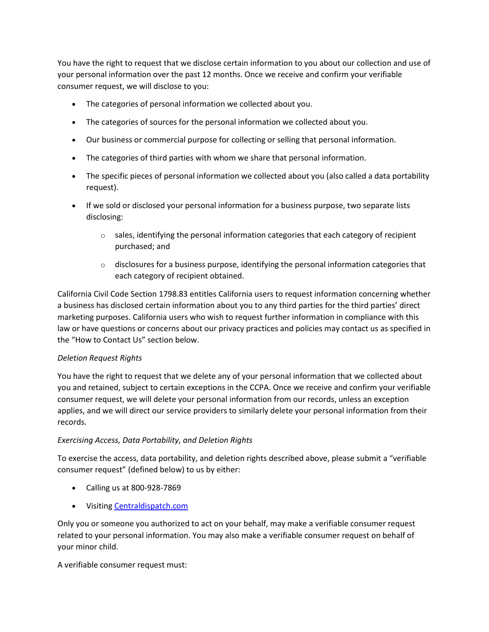You have the right to request that we disclose certain information to you about our collection and use of your personal information over the past 12 months. Once we receive and confirm your verifiable consumer request, we will disclose to you:

- The categories of personal information we collected about you.
- The categories of sources for the personal information we collected about you.
- Our business or commercial purpose for collecting or selling that personal information.
- The categories of third parties with whom we share that personal information.
- The specific pieces of personal information we collected about you (also called a data portability request).
- If we sold or disclosed your personal information for a business purpose, two separate lists disclosing:
	- $\circ$  sales, identifying the personal information categories that each category of recipient purchased; and
	- $\circ$  disclosures for a business purpose, identifying the personal information categories that each category of recipient obtained.

California Civil Code Section 1798.83 entitles California users to request information concerning whether a business has disclosed certain information about you to any third parties for the third parties' direct marketing purposes. California users who wish to request further information in compliance with this law or have questions or concerns about our privacy practices and policies may contact us as specified in the "How to Contact Us" section below.

#### *Deletion Request Rights*

You have the right to request that we delete any of your personal information that we collected about you and retained, subject to certain exceptions in the CCPA. Once we receive and confirm your verifiable consumer request, we will delete your personal information from our records, unless an exception applies, and we will direct our service providers to similarly delete your personal information from their records.

#### *Exercising Access, Data Portability, and Deletion Rights*

To exercise the access, data portability, and deletion rights described above, please submit a "verifiable consumer request" (defined below) to us by either:

- Calling us at 800-928-7869
- Visiting [Centraldispatch.com](http://www.centraldispatch.com/)

Only you or someone you authorized to act on your behalf, may make a verifiable consumer request related to your personal information. You may also make a verifiable consumer request on behalf of your minor child.

A verifiable consumer request must: